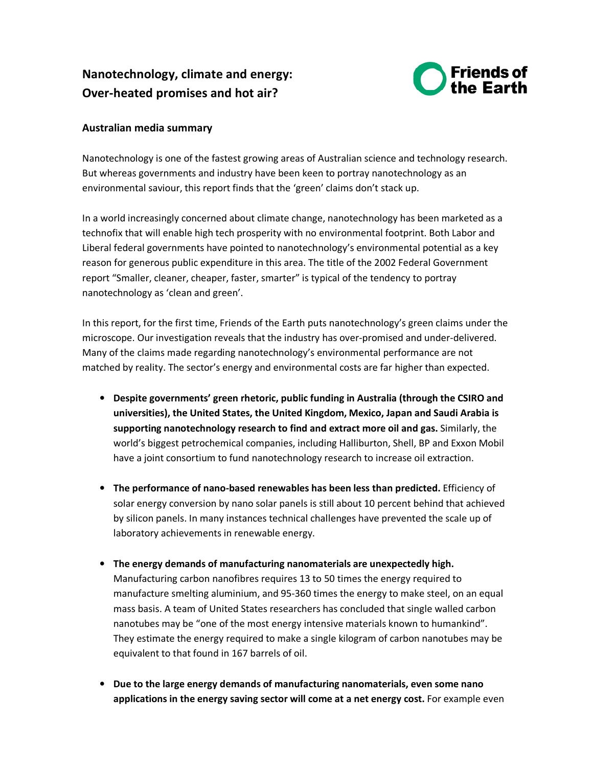## **Nanotechnology, climate and energy: Over-heated promises and hot air?**



## **Australian media summary**

Nanotechnology is one of the fastest growing areas of Australian science and technology research. But whereas governments and industry have been keen to portray nanotechnology as an environmental saviour, this report finds that the 'green' claims don't stack up.

In a world increasingly concerned about climate change, nanotechnology has been marketed as a technofix that will enable high tech prosperity with no environmental footprint. Both Labor and Liberal federal governments have pointed to nanotechnology's environmental potential as a key reason for generous public expenditure in this area. The title of the 2002 Federal Government report "Smaller, cleaner, cheaper, faster, smarter" is typical of the tendency to portray nanotechnology as 'clean and green'.

In this report, for the first time, Friends of the Earth puts nanotechnology's green claims under the microscope. Our investigation reveals that the industry has over-promised and under-delivered. Many of the claims made regarding nanotechnology's environmental performance are not matched by reality. The sector's energy and environmental costs are far higher than expected.

- **Despite governments' green rhetoric, public funding in Australia (through the CSIRO and universities), the United States, the United Kingdom, Mexico, Japan and Saudi Arabia is supporting nanotechnology research to find and extract more oil and gas.** Similarly, the world's biggest petrochemical companies, including Halliburton, Shell, BP and Exxon Mobil have a joint consortium to fund nanotechnology research to increase oil extraction.
- **The performance of nano-based renewables has been less than predicted.** Efficiency of solar energy conversion by nano solar panels is still about 10 percent behind that achieved by silicon panels. In many instances technical challenges have prevented the scale up of laboratory achievements in renewable energy.
- **The energy demands of manufacturing nanomaterials are unexpectedly high.** Manufacturing carbon nanofibres requires 13 to 50 times the energy required to manufacture smelting aluminium, and 95-360 times the energy to make steel, on an equal mass basis. A team of United States researchers has concluded that single walled carbon nanotubes may be "one of the most energy intensive materials known to humankind". They estimate the energy required to make a single kilogram of carbon nanotubes may be equivalent to that found in 167 barrels of oil.
- **Due to the large energy demands of manufacturing nanomaterials, even some nano applications in the energy saving sector will come at a net energy cost.** For example even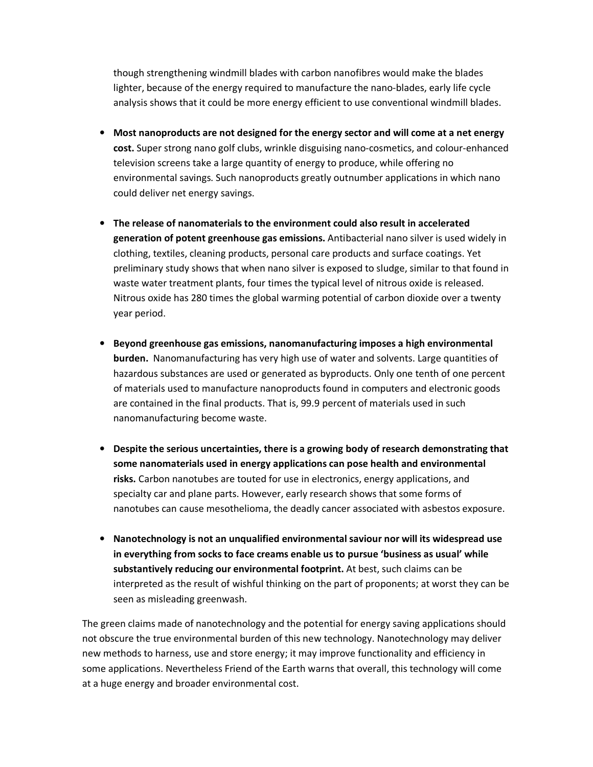though strengthening windmill blades with carbon nanofibres would make the blades lighter, because of the energy required to manufacture the nano-blades, early life cycle analysis shows that it could be more energy efficient to use conventional windmill blades.

- **Most nanoproducts are not designed for the energy sector and will come at a net energy cost.** Super strong nano golf clubs, wrinkle disguising nano-cosmetics, and colour-enhanced television screens take a large quantity of energy to produce, while offering no environmental savings. Such nanoproducts greatly outnumber applications in which nano could deliver net energy savings.
- **The release of nanomaterials to the environment could also result in accelerated generation of potent greenhouse gas emissions.** Antibacterial nano silver is used widely in clothing, textiles, cleaning products, personal care products and surface coatings. Yet preliminary study shows that when nano silver is exposed to sludge, similar to that found in waste water treatment plants, four times the typical level of nitrous oxide is released. Nitrous oxide has 280 times the global warming potential of carbon dioxide over a twenty year period.
- **Beyond greenhouse gas emissions, nanomanufacturing imposes a high environmental burden.** Nanomanufacturing has very high use of water and solvents. Large quantities of hazardous substances are used or generated as byproducts. Only one tenth of one percent of materials used to manufacture nanoproducts found in computers and electronic goods are contained in the final products. That is, 99.9 percent of materials used in such nanomanufacturing become waste.
- **Despite the serious uncertainties, there is a growing body of research demonstrating that some nanomaterials used in energy applications can pose health and environmental risks.** Carbon nanotubes are touted for use in electronics, energy applications, and specialty car and plane parts. However, early research shows that some forms of nanotubes can cause mesothelioma, the deadly cancer associated with asbestos exposure.
- **Nanotechnology is not an unqualified environmental saviour nor will its widespread use in everything from socks to face creams enable us to pursue 'business as usual' while substantively reducing our environmental footprint.** At best, such claims can be interpreted as the result of wishful thinking on the part of proponents; at worst they can be seen as misleading greenwash.

The green claims made of nanotechnology and the potential for energy saving applications should not obscure the true environmental burden of this new technology. Nanotechnology may deliver new methods to harness, use and store energy; it may improve functionality and efficiency in some applications. Nevertheless Friend of the Earth warns that overall, this technology will come at a huge energy and broader environmental cost.